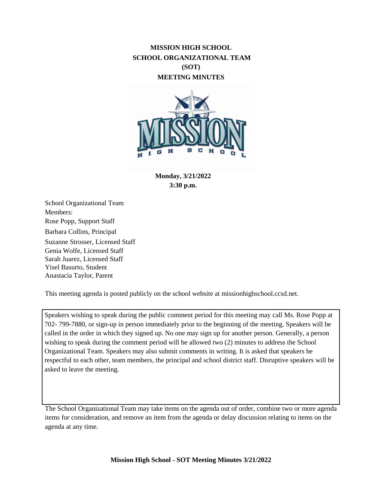# **MISSION HIGH SCHOOL SCHOOL ORGANIZATIONAL TEAM (SOT) MEETING MINUTES**



**Monday, 3/21/2022 3:30 p.m.**

School Organizational Team Members: Rose Popp, Support Staff Barbara Collins, Principal Suzanne Strosser, Licensed Staff Genia Wolfe, Licensed Staff Sarah Juarez, Licensed Staff Yisel Basurto, Student Anastacia Taylor, Parent

This meeting agenda is posted publicly on the school website at missionhighschool.ccsd.net.

Speakers wishing to speak during the public comment period for this meeting may call Ms. Rose Popp at 702- 799-7880, or sign-up in person immediately prior to the beginning of the meeting. Speakers will be called in the order in which they signed up. No one may sign up for another person. Generally, a person wishing to speak during the comment period will be allowed two (2) minutes to address the School Organizational Team. Speakers may also submit comments in writing. It is asked that speakers be respectful to each other, team members, the principal and school district staff. Disruptive speakers will be asked to leave the meeting.

The School Organizational Team may take items on the agenda out of order, combine two or more agenda items for consideration, and remove an item from the agenda or delay discussion relating to items on the agenda at any time.

**Mission High School - SOT Meeting Minutes 3/21/2022**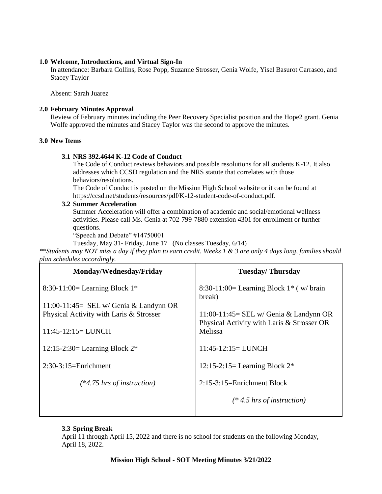#### **1.0 Welcome, Introductions, and Virtual Sign-In**

In attendance: Barbara Collins, Rose Popp, Suzanne Strosser, Genia Wolfe, Yisel Basurot Carrasco, and Stacey Taylor

Absent: Sarah Juarez

#### **2.0 February Minutes Approval**

Review of February minutes including the Peer Recovery Specialist position and the Hope2 grant. Genia Wolfe approved the minutes and Stacey Taylor was the second to approve the minutes.

## **3.0 New Items**

#### **3.1 NRS 392.4644 K-12 Code of Conduct**

The Code of Conduct reviews behaviors and possible resolutions for all students K-12. It also addresses which CCSD regulation and the NRS statute that correlates with those behaviors/resolutions.

The Code of Conduct is posted on the Mission High School website or it can be found at https://ccsd.net/students/resources/pdf/K-12-student-code-of-conduct.pdf.

## **3.2 Summer Acceleration**

Summer Acceleration will offer a combination of academic and social/emotional wellness activities. Please call Ms. Genia at 702-799-7880 extension 4301 for enrollment or further questions.

"Speech and Debate" #14750001

Tuesday, May 31- Friday, June 17 (No classes Tuesday, 6/14)

*\*\*Students may NOT miss a day if they plan to earn credit. Weeks 1 & 3 are only 4 days long, families should plan schedules accordingly.*

| Monday/Wednesday/Friday                  | <b>Tuesday/Thursday</b>                                                                |
|------------------------------------------|----------------------------------------------------------------------------------------|
| 8:30-11:00= Learning Block $1*$          | 8:30-11:00= Learning Block $1$ <sup>*</sup> (w/ brain<br>break)                        |
| $11:00-11:45=$ SEL w/ Genia & Landynn OR |                                                                                        |
| Physical Activity with Laris & Strosser  | $11:00-11:45=$ SEL w/ Genia & Landynn OR<br>Physical Activity with Laris & Strosser OR |
| $11:45-12:15=LUNCH$                      | Melissa                                                                                |
| 12:15-2:30= Learning Block $2^*$         | $11:45-12:15=LUNCH$                                                                    |
| $2:30-3:15=Enrichment$                   | 12:15-2:15= Learning Block $2^*$                                                       |
| $(*4.75$ hrs of instruction)             | 2:15-3:15=Enrichment Block                                                             |
|                                          | $(* 4.5 hrs of instruction)$                                                           |

## **3.3 Spring Break**

April 11 through April 15, 2022 and there is no school for students on the following Monday, April 18, 2022.